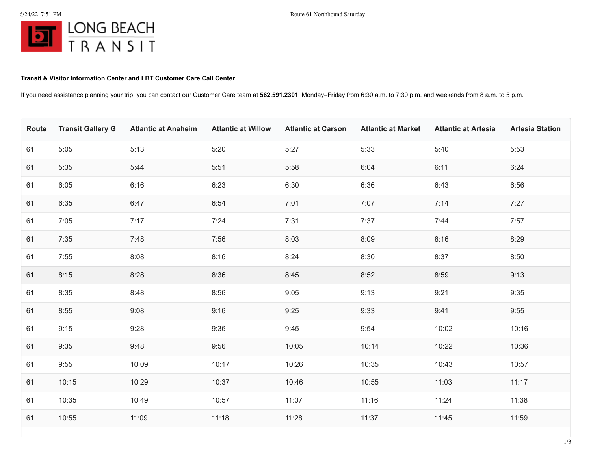## **Transit & Visitor Information Center and LBT Customer Care Call Center**

If you need assistance planning your trip, you can contact our Customer Care team at **562.591.2301**, Monday–Friday from 6:30 a.m. to 7:30 p.m. and weekends from 8 a.m. to 5 p.m.

| Route | <b>Transit Gallery G</b> | <b>Atlantic at Anaheim</b> | <b>Atlantic at Willow</b> | <b>Atlantic at Carson</b> | <b>Atlantic at Market</b> | <b>Atlantic at Artesia</b> | <b>Artesia Station</b> |
|-------|--------------------------|----------------------------|---------------------------|---------------------------|---------------------------|----------------------------|------------------------|
| 61    | 5:05                     | 5:13                       | 5:20                      | 5:27                      | 5:33                      | 5:40                       | 5:53                   |
| 61    | 5:35                     | 5:44                       | 5:51                      | 5:58                      | 6:04                      | 6:11                       | 6:24                   |
| 61    | 6:05                     | 6:16                       | 6:23                      | 6:30                      | 6:36                      | 6:43                       | 6:56                   |
| 61    | 6:35                     | 6:47                       | 6:54                      | 7:01                      | 7:07                      | 7:14                       | 7:27                   |
| 61    | 7:05                     | 7:17                       | 7:24                      | 7:31                      | 7:37                      | 7:44                       | 7:57                   |
| 61    | 7:35                     | 7:48                       | 7:56                      | 8:03                      | 8:09                      | 8:16                       | 8:29                   |
| 61    | 7:55                     | 8:08                       | 8:16                      | 8:24                      | 8:30                      | 8:37                       | 8:50                   |
| 61    | 8:15                     | 8:28                       | 8:36                      | 8:45                      | 8:52                      | 8:59                       | 9:13                   |
| 61    | 8:35                     | 8:48                       | 8:56                      | 9:05                      | 9:13                      | 9:21                       | 9:35                   |
| 61    | 8:55                     | 9:08                       | 9:16                      | 9:25                      | 9:33                      | 9:41                       | 9:55                   |
| 61    | 9:15                     | 9:28                       | 9:36                      | 9:45                      | 9:54                      | 10:02                      | 10:16                  |
| 61    | 9:35                     | 9:48                       | 9:56                      | 10:05                     | 10:14                     | 10:22                      | 10:36                  |
| 61    | 9:55                     | 10:09                      | 10:17                     | 10:26                     | 10:35                     | 10:43                      | 10:57                  |
| 61    | 10:15                    | 10:29                      | 10:37                     | 10:46                     | 10:55                     | 11:03                      | 11:17                  |
| 61    | 10:35                    | 10:49                      | 10:57                     | 11:07                     | 11:16                     | 11:24                      | 11:38                  |
| 61    | 10:55                    | 11:09                      | 11:18                     | 11:28                     | 11:37                     | 11:45                      | 11:59                  |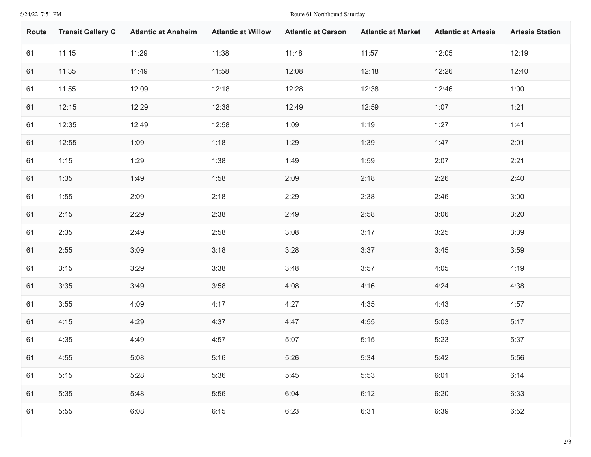6/24/22, 7:51 PM Route 61 Northbound Saturday

| Route | <b>Transit Gallery G</b> | <b>Atlantic at Anaheim</b> | <b>Atlantic at Willow</b> | <b>Atlantic at Carson</b> | <b>Atlantic at Market</b> | <b>Atlantic at Artesia</b> | <b>Artesia Station</b> |
|-------|--------------------------|----------------------------|---------------------------|---------------------------|---------------------------|----------------------------|------------------------|
| 61    | 11:15                    | 11:29                      | 11:38                     | 11:48                     | 11:57                     | 12:05                      | 12:19                  |
| 61    | 11:35                    | 11:49                      | 11:58                     | 12:08                     | 12:18                     | 12:26                      | 12:40                  |
| 61    | 11:55                    | 12:09                      | 12:18                     | 12:28                     | 12:38                     | 12:46                      | 1:00                   |
| 61    | 12:15                    | 12:29                      | 12:38                     | 12:49                     | 12:59                     | 1:07                       | 1:21                   |
| 61    | 12:35                    | 12:49                      | 12:58                     | 1:09                      | 1:19                      | 1:27                       | 1:41                   |
| 61    | 12:55                    | 1:09                       | 1:18                      | 1:29                      | 1:39                      | 1:47                       | 2:01                   |
| 61    | 1:15                     | 1:29                       | 1:38                      | 1:49                      | 1:59                      | 2:07                       | 2:21                   |
| 61    | 1:35                     | 1:49                       | 1:58                      | 2:09                      | 2:18                      | 2:26                       | 2:40                   |
| 61    | 1:55                     | 2:09                       | 2:18                      | 2:29                      | 2:38                      | 2:46                       | 3:00                   |
| 61    | 2:15                     | 2:29                       | 2:38                      | 2:49                      | 2:58                      | 3:06                       | 3:20                   |
| 61    | 2:35                     | 2:49                       | 2:58                      | 3:08                      | 3:17                      | 3:25                       | 3:39                   |
| 61    | 2:55                     | 3:09                       | 3:18                      | 3:28                      | 3:37                      | 3:45                       | 3:59                   |
| 61    | 3:15                     | 3:29                       | 3:38                      | 3:48                      | 3:57                      | 4:05                       | 4:19                   |
| 61    | 3:35                     | 3:49                       | 3:58                      | 4:08                      | 4:16                      | 4:24                       | 4:38                   |
| 61    | 3:55                     | 4:09                       | 4:17                      | 4:27                      | 4:35                      | 4:43                       | 4:57                   |
| 61    | 4:15                     | 4:29                       | 4:37                      | 4:47                      | 4:55                      | 5:03                       | 5:17                   |
| 61    | 4:35                     | 4:49                       | 4:57                      | 5:07                      | 5:15                      | 5:23                       | 5:37                   |
| 61    | 4:55                     | 5:08                       | 5:16                      | 5:26                      | 5:34                      | 5:42                       | 5:56                   |
| 61    | 5:15                     | 5:28                       | 5:36                      | 5:45                      | 5:53                      | 6:01                       | 6:14                   |
| 61    | 5:35                     | 5:48                       | 5:56                      | 6:04                      | 6:12                      | 6:20                       | 6:33                   |
| 61    | 5:55                     | 6:08                       | 6:15                      | 6:23                      | 6:31                      | 6:39                       | 6:52                   |